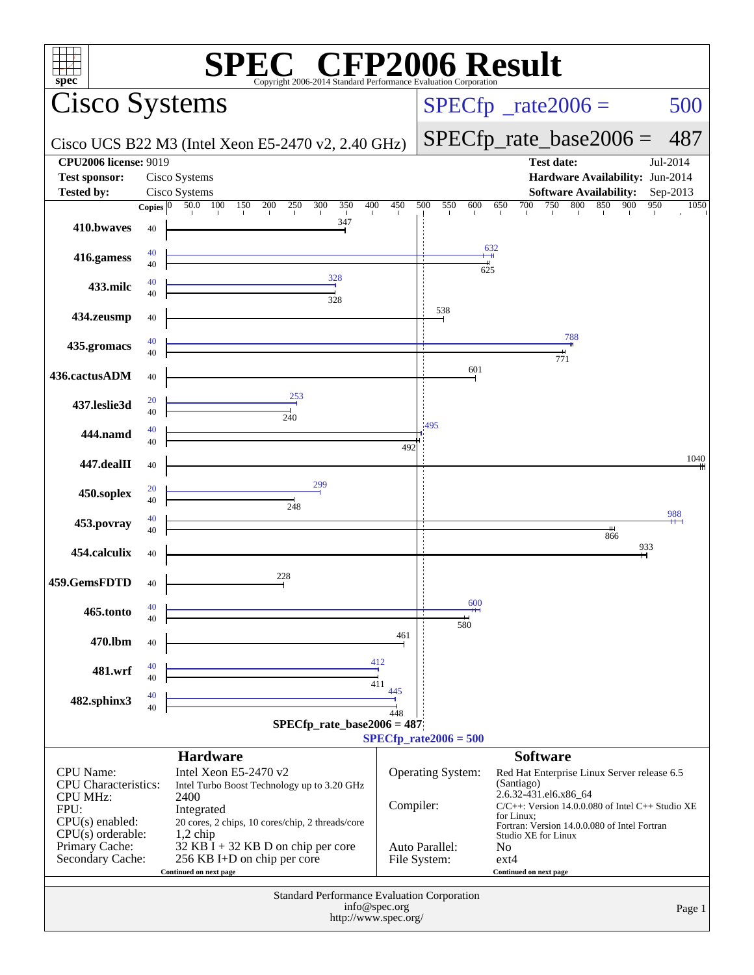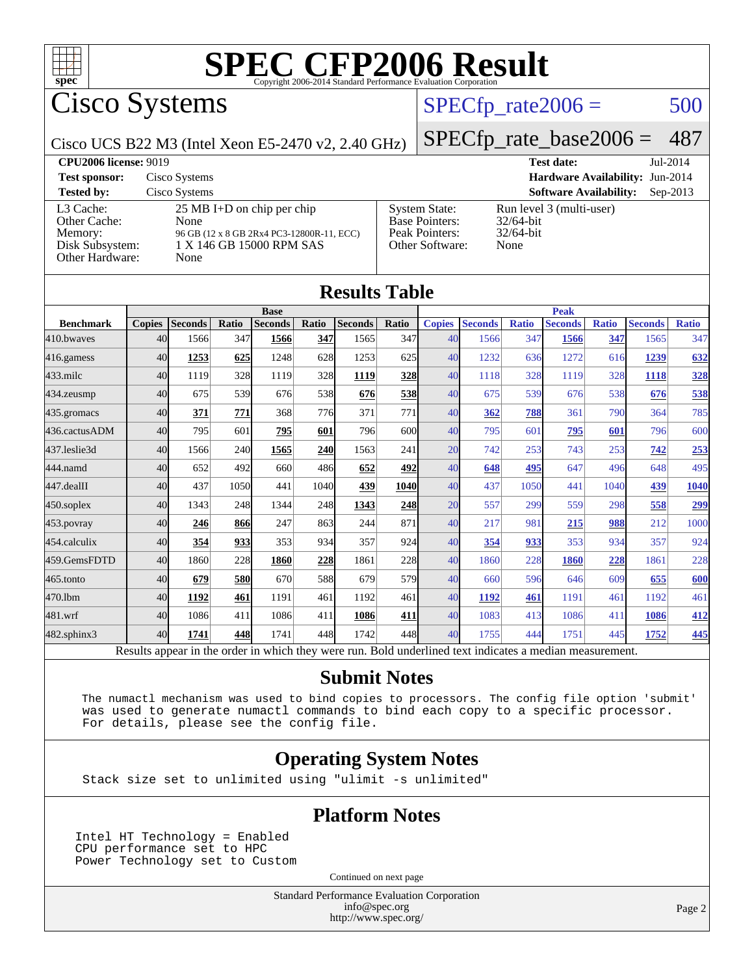

Cisco Systems

### $SPECTp_rate2006 = 500$

Cisco UCS B22 M3 (Intel Xeon E5-2470 v2, 2.40 GHz)

[SPECfp\\_rate\\_base2006 =](http://www.spec.org/auto/cpu2006/Docs/result-fields.html#SPECfpratebase2006) 487

| <b>CPU2006 license: 9019</b>                                               |                                                                                                                               |                                                                                    | <b>Test date:</b>                                                | Jul-2014   |
|----------------------------------------------------------------------------|-------------------------------------------------------------------------------------------------------------------------------|------------------------------------------------------------------------------------|------------------------------------------------------------------|------------|
| <b>Test sponsor:</b>                                                       | Cisco Systems                                                                                                                 |                                                                                    | Hardware Availability: Jun-2014                                  |            |
| <b>Tested by:</b>                                                          | Cisco Systems                                                                                                                 |                                                                                    | <b>Software Availability:</b>                                    | $Sep-2013$ |
| L3 Cache:<br>Other Cache:<br>Memory:<br>Disk Subsystem:<br>Other Hardware: | $25 \text{ MB I+D}$ on chip per chip<br>None<br>96 GB (12 x 8 GB 2Rx4 PC3-12800R-11, ECC)<br>1 X 146 GB 15000 RPM SAS<br>None | <b>System State:</b><br><b>Base Pointers:</b><br>Peak Pointers:<br>Other Software: | Run level 3 (multi-user)<br>$32/64$ -bit<br>$32/64$ -bit<br>None |            |

| <b>Results Table</b> |                                                                                                          |                |       |                |             |                |             |               |                |              |                |              |                |              |
|----------------------|----------------------------------------------------------------------------------------------------------|----------------|-------|----------------|-------------|----------------|-------------|---------------|----------------|--------------|----------------|--------------|----------------|--------------|
|                      | <b>Base</b>                                                                                              |                |       |                | <b>Peak</b> |                |             |               |                |              |                |              |                |              |
| <b>Benchmark</b>     | <b>Copies</b>                                                                                            | <b>Seconds</b> | Ratio | <b>Seconds</b> | Ratio       | <b>Seconds</b> | Ratio       | <b>Copies</b> | <b>Seconds</b> | <b>Ratio</b> | <b>Seconds</b> | <b>Ratio</b> | <b>Seconds</b> | <b>Ratio</b> |
| 410.bwayes           | 40                                                                                                       | 1566           | 347   | 1566           | 347         | 1565           | 347         | 40            | 1566           | 347          | 1566           | 347          | 1565           | 347          |
| 416.gamess           | 40                                                                                                       | 1253           | 625   | 1248           | 628         | 1253           | 625         | 40            | 1232           | 636          | 1272           | 616          | 1239           | 632          |
| $433$ .milc          | 40                                                                                                       | 1119           | 328   | 1119           | 328         | 1119           | 328         | 40            | 1118           | 328          | 1119           | 328          | 1118           | 328          |
| $434$ . zeusmp       | 40                                                                                                       | 675            | 539   | 676            | 538         | 676            | 538         | 40            | 675            | 539          | 676            | 538          | 676            | 538          |
| $435$ . gromacs      | 40                                                                                                       | 371            | 771   | 368            | 776         | 371            | 771         | 40            | 362            | 788          | 361            | 790          | 364            | 785          |
| 436.cactusADM        | 40                                                                                                       | 795            | 601   | 795            | 601         | 796            | 600         | 40            | 795            | 601          | 795            | 601          | 796            | 600          |
| 437.leslie3d         | 40                                                                                                       | 1566           | 240   | 1565           | 240         | 1563           | 241         | 20            | 742            | 253          | 743            | 253          | 742            | 253          |
| 444.namd             | 40                                                                                                       | 652            | 492   | 660            | 486         | 652            | 492         | 40            | 648            | 495          | 647            | 496          | 648            | 495          |
| $447$ .dealII        | 40                                                                                                       | 437            | 1050  | 441            | 1040        | 439            | <b>1040</b> | 40            | 437            | 1050         | 441            | 1040         | 439            | 1040         |
| $450$ .soplex        | 40                                                                                                       | 1343           | 248   | 1344           | 248         | 1343           | <b>248</b>  | 20            | 557            | 299          | 559            | 298          | 558            | 299          |
| 453.povray           | 40                                                                                                       | 246            | 866   | 247            | 863         | 244            | 871         | 40            | 217            | 981          | 215            | 988          | 212            | 1000         |
| 454.calculix         | 40                                                                                                       | 354            | 933   | 353            | 934         | 357            | 924         | 40            | 354            | 933          | 353            | 934          | 357            | 924          |
| 459.GemsFDTD         | 40                                                                                                       | 1860           | 228   | 1860           | 228         | 1861           | 228         | 40            | 1860           | 228          | 1860           | 228          | 1861           | 228          |
| $465$ .tonto         | 40                                                                                                       | 679            | 580   | 670            | 588         | 679            | 579         | 40            | 660            | 596          | 646            | 609          | 655            | 600          |
| 470.1bm              | 40                                                                                                       | 1192           | 461   | 1191           | 461         | 1192           | 461         | 40            | 1192           | 461          | 1191           | 461          | 1192           | 461          |
| 481.wrf              | 40                                                                                                       | 1086           | 411   | 1086           | 411         | 1086           | 411         | 40            | 1083           | 413          | 1086           | 411          | 1086           | 412          |
| $482$ .sphinx $3$    | 40                                                                                                       | 1741           | 448   | 1741           | 448         | 1742           | 448         | 40            | 1755           | 444          | 1751           | 445          | 1752           | 445          |
|                      | Results appear in the order in which they were run. Bold underlined text indicates a median measurement. |                |       |                |             |                |             |               |                |              |                |              |                |              |

#### **[Submit Notes](http://www.spec.org/auto/cpu2006/Docs/result-fields.html#SubmitNotes)**

 The numactl mechanism was used to bind copies to processors. The config file option 'submit' was used to generate numactl commands to bind each copy to a specific processor. For details, please see the config file.

### **[Operating System Notes](http://www.spec.org/auto/cpu2006/Docs/result-fields.html#OperatingSystemNotes)**

Stack size set to unlimited using "ulimit -s unlimited"

### **[Platform Notes](http://www.spec.org/auto/cpu2006/Docs/result-fields.html#PlatformNotes)**

Intel HT Technology = Enabled CPU performance set to HPC Power Technology set to Custom

Continued on next page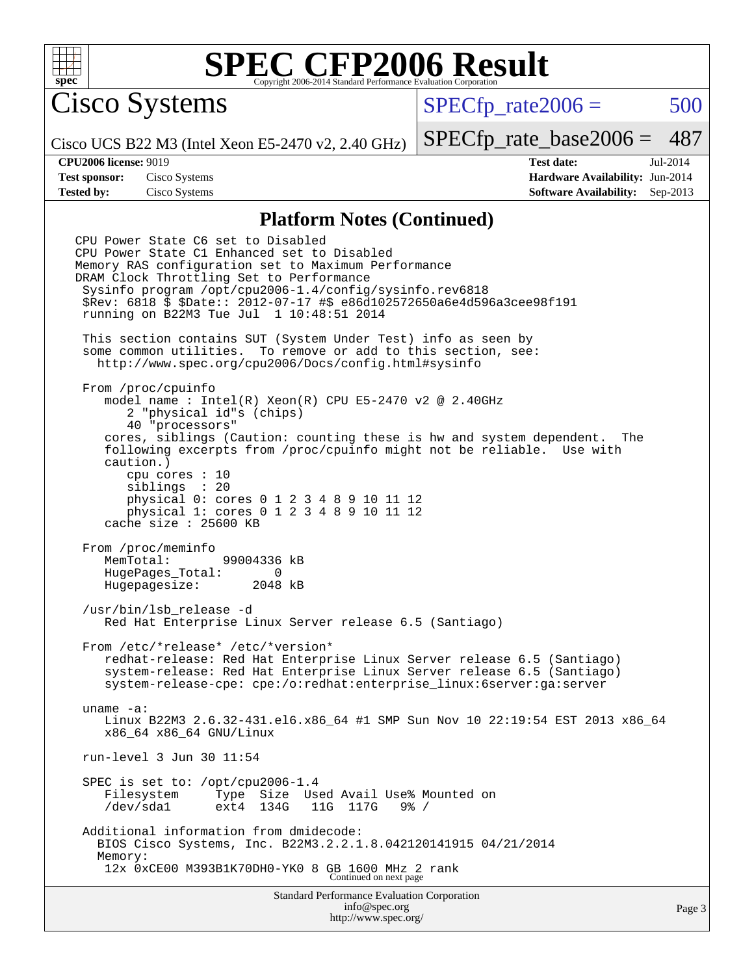

Cisco Systems

 $SPECTp\_rate2006 = 500$ 

Cisco UCS B22 M3 (Intel Xeon E5-2470 v2, 2.40 GHz)

[SPECfp\\_rate\\_base2006 =](http://www.spec.org/auto/cpu2006/Docs/result-fields.html#SPECfpratebase2006) 487

**[CPU2006 license:](http://www.spec.org/auto/cpu2006/Docs/result-fields.html#CPU2006license)** 9019 **[Test date:](http://www.spec.org/auto/cpu2006/Docs/result-fields.html#Testdate)** Jul-2014 **[Test sponsor:](http://www.spec.org/auto/cpu2006/Docs/result-fields.html#Testsponsor)** Cisco Systems **[Hardware Availability:](http://www.spec.org/auto/cpu2006/Docs/result-fields.html#HardwareAvailability)** Jun-2014 **[Tested by:](http://www.spec.org/auto/cpu2006/Docs/result-fields.html#Testedby)** Cisco Systems **[Software Availability:](http://www.spec.org/auto/cpu2006/Docs/result-fields.html#SoftwareAvailability)** Sep-2013

#### **[Platform Notes \(Continued\)](http://www.spec.org/auto/cpu2006/Docs/result-fields.html#PlatformNotes)**

Standard Performance Evaluation Corporation CPU Power State C6 set to Disabled CPU Power State C1 Enhanced set to Disabled Memory RAS configuration set to Maximum Performance DRAM Clock Throttling Set to Performance Sysinfo program /opt/cpu2006-1.4/config/sysinfo.rev6818 \$Rev: 6818 \$ \$Date:: 2012-07-17 #\$ e86d102572650a6e4d596a3cee98f191 running on B22M3 Tue Jul 1 10:48:51 2014 This section contains SUT (System Under Test) info as seen by some common utilities. To remove or add to this section, see: <http://www.spec.org/cpu2006/Docs/config.html#sysinfo> From /proc/cpuinfo model name : Intel(R) Xeon(R) CPU E5-2470 v2 @ 2.40GHz 2 "physical id"s (chips) 40 "processors" cores, siblings (Caution: counting these is hw and system dependent. The following excerpts from /proc/cpuinfo might not be reliable. Use with caution.) cpu cores : 10 siblings : 20 physical 0: cores 0 1 2 3 4 8 9 10 11 12 physical 1: cores 0 1 2 3 4 8 9 10 11 12 cache size : 25600 KB From /proc/meminfo MemTotal: 99004336 kB HugePages\_Total: 0<br>Hugepagesize: 2048 kB Hugepagesize: /usr/bin/lsb\_release -d Red Hat Enterprise Linux Server release 6.5 (Santiago) From /etc/\*release\* /etc/\*version\* redhat-release: Red Hat Enterprise Linux Server release 6.5 (Santiago) system-release: Red Hat Enterprise Linux Server release 6.5 (Santiago) system-release-cpe: cpe:/o:redhat:enterprise\_linux:6server:ga:server uname -a: Linux B22M3 2.6.32-431.el6.x86\_64 #1 SMP Sun Nov 10 22:19:54 EST 2013 x86\_64 x86\_64 x86\_64 GNU/Linux run-level 3 Jun 30 11:54 SPEC is set to: /opt/cpu2006-1.4 Filesystem Type Size Used Avail Use% Mounted on<br>/dev/sdal ext4 134G 11G 117G 9% / 11G 117G Additional information from dmidecode: BIOS Cisco Systems, Inc. B22M3.2.2.1.8.042120141915 04/21/2014 Memory: 12x 0xCE00 M393B1K70DH0-YK0 8 GB 1600 MHz 2 rank Continued on next page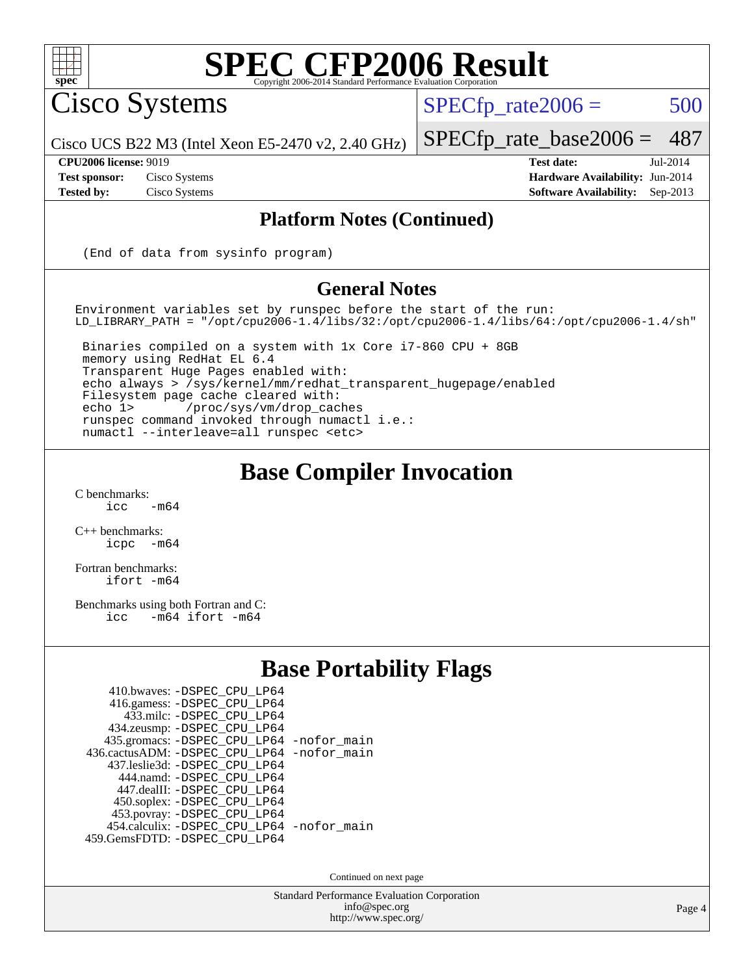

Cisco Systems

 $SPECTp\_rate2006 = 500$ 

[SPECfp\\_rate\\_base2006 =](http://www.spec.org/auto/cpu2006/Docs/result-fields.html#SPECfpratebase2006) 487

Cisco UCS B22 M3 (Intel Xeon E5-2470 v2, 2.40 GHz)

**[Tested by:](http://www.spec.org/auto/cpu2006/Docs/result-fields.html#Testedby)** Cisco Systems **[Software Availability:](http://www.spec.org/auto/cpu2006/Docs/result-fields.html#SoftwareAvailability)** Sep-2013

**[CPU2006 license:](http://www.spec.org/auto/cpu2006/Docs/result-fields.html#CPU2006license)** 9019 **[Test date:](http://www.spec.org/auto/cpu2006/Docs/result-fields.html#Testdate)** Jul-2014 **[Test sponsor:](http://www.spec.org/auto/cpu2006/Docs/result-fields.html#Testsponsor)** Cisco Systems **[Hardware Availability:](http://www.spec.org/auto/cpu2006/Docs/result-fields.html#HardwareAvailability)** Jun-2014

#### **[Platform Notes \(Continued\)](http://www.spec.org/auto/cpu2006/Docs/result-fields.html#PlatformNotes)**

(End of data from sysinfo program)

#### **[General Notes](http://www.spec.org/auto/cpu2006/Docs/result-fields.html#GeneralNotes)**

Environment variables set by runspec before the start of the run: LD\_LIBRARY\_PATH = "/opt/cpu2006-1.4/libs/32:/opt/cpu2006-1.4/libs/64:/opt/cpu2006-1.4/sh"

 Binaries compiled on a system with 1x Core i7-860 CPU + 8GB memory using RedHat EL 6.4 Transparent Huge Pages enabled with: echo always > /sys/kernel/mm/redhat\_transparent\_hugepage/enabled Filesystem page cache cleared with: echo 1> /proc/sys/vm/drop\_caches runspec command invoked through numactl i.e.: numactl --interleave=all runspec <etc>

### **[Base Compiler Invocation](http://www.spec.org/auto/cpu2006/Docs/result-fields.html#BaseCompilerInvocation)**

 $C$  benchmarks:<br>icc  $-m64$ 

[C++ benchmarks:](http://www.spec.org/auto/cpu2006/Docs/result-fields.html#CXXbenchmarks) [icpc -m64](http://www.spec.org/cpu2006/results/res2014q3/cpu2006-20140903-31201.flags.html#user_CXXbase_intel_icpc_64bit_bedb90c1146cab66620883ef4f41a67e)

[Fortran benchmarks](http://www.spec.org/auto/cpu2006/Docs/result-fields.html#Fortranbenchmarks): [ifort -m64](http://www.spec.org/cpu2006/results/res2014q3/cpu2006-20140903-31201.flags.html#user_FCbase_intel_ifort_64bit_ee9d0fb25645d0210d97eb0527dcc06e)

[Benchmarks using both Fortran and C](http://www.spec.org/auto/cpu2006/Docs/result-fields.html#BenchmarksusingbothFortranandC): [icc -m64](http://www.spec.org/cpu2006/results/res2014q3/cpu2006-20140903-31201.flags.html#user_CC_FCbase_intel_icc_64bit_0b7121f5ab7cfabee23d88897260401c) [ifort -m64](http://www.spec.org/cpu2006/results/res2014q3/cpu2006-20140903-31201.flags.html#user_CC_FCbase_intel_ifort_64bit_ee9d0fb25645d0210d97eb0527dcc06e)

### **[Base Portability Flags](http://www.spec.org/auto/cpu2006/Docs/result-fields.html#BasePortabilityFlags)**

| 410.bwaves: -DSPEC CPU LP64                |  |
|--------------------------------------------|--|
| 416.gamess: -DSPEC_CPU_LP64                |  |
|                                            |  |
| 433.milc: -DSPEC CPU LP64                  |  |
| 434.zeusmp: -DSPEC_CPU_LP64                |  |
| 435.gromacs: -DSPEC_CPU_LP64 -nofor_main   |  |
| 436.cactusADM: -DSPEC CPU LP64 -nofor main |  |
| 437.leslie3d: -DSPEC CPU LP64              |  |
| 444.namd: - DSPEC_CPU LP64                 |  |
| 447.dealII: -DSPEC_CPU_LP64                |  |
| 450.soplex: -DSPEC_CPU_LP64                |  |
| 453.povray: -DSPEC_CPU_LP64                |  |
| 454.calculix: - DSPEC_CPU_LP64 -nofor_main |  |
| 459.GemsFDTD: - DSPEC_CPU_LP64             |  |
|                                            |  |

Continued on next page

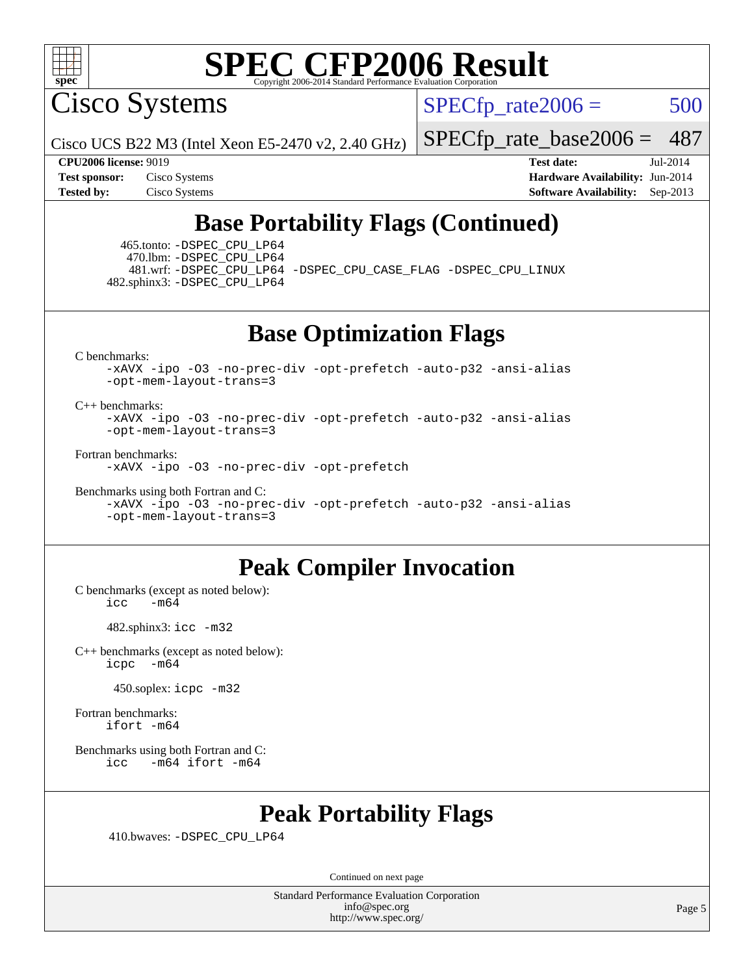

Cisco Systems

 $SPECTp\_rate2006 = 500$ 

Cisco UCS B22 M3 (Intel Xeon E5-2470 v2, 2.40 GHz)

[SPECfp\\_rate\\_base2006 =](http://www.spec.org/auto/cpu2006/Docs/result-fields.html#SPECfpratebase2006) 487

**[CPU2006 license:](http://www.spec.org/auto/cpu2006/Docs/result-fields.html#CPU2006license)** 9019 **[Test date:](http://www.spec.org/auto/cpu2006/Docs/result-fields.html#Testdate)** Jul-2014

**[Test sponsor:](http://www.spec.org/auto/cpu2006/Docs/result-fields.html#Testsponsor)** Cisco Systems **[Hardware Availability:](http://www.spec.org/auto/cpu2006/Docs/result-fields.html#HardwareAvailability)** Jun-2014 **[Tested by:](http://www.spec.org/auto/cpu2006/Docs/result-fields.html#Testedby)** Cisco Systems **[Software Availability:](http://www.spec.org/auto/cpu2006/Docs/result-fields.html#SoftwareAvailability)** Sep-2013

### **[Base Portability Flags \(Continued\)](http://www.spec.org/auto/cpu2006/Docs/result-fields.html#BasePortabilityFlags)**

 465.tonto: [-DSPEC\\_CPU\\_LP64](http://www.spec.org/cpu2006/results/res2014q3/cpu2006-20140903-31201.flags.html#suite_basePORTABILITY465_tonto_DSPEC_CPU_LP64) 470.lbm: [-DSPEC\\_CPU\\_LP64](http://www.spec.org/cpu2006/results/res2014q3/cpu2006-20140903-31201.flags.html#suite_basePORTABILITY470_lbm_DSPEC_CPU_LP64) 481.wrf: [-DSPEC\\_CPU\\_LP64](http://www.spec.org/cpu2006/results/res2014q3/cpu2006-20140903-31201.flags.html#suite_basePORTABILITY481_wrf_DSPEC_CPU_LP64) [-DSPEC\\_CPU\\_CASE\\_FLAG](http://www.spec.org/cpu2006/results/res2014q3/cpu2006-20140903-31201.flags.html#b481.wrf_baseCPORTABILITY_DSPEC_CPU_CASE_FLAG) [-DSPEC\\_CPU\\_LINUX](http://www.spec.org/cpu2006/results/res2014q3/cpu2006-20140903-31201.flags.html#b481.wrf_baseCPORTABILITY_DSPEC_CPU_LINUX) 482.sphinx3: [-DSPEC\\_CPU\\_LP64](http://www.spec.org/cpu2006/results/res2014q3/cpu2006-20140903-31201.flags.html#suite_basePORTABILITY482_sphinx3_DSPEC_CPU_LP64)

**[Base Optimization Flags](http://www.spec.org/auto/cpu2006/Docs/result-fields.html#BaseOptimizationFlags)**

[C benchmarks](http://www.spec.org/auto/cpu2006/Docs/result-fields.html#Cbenchmarks):

[-xAVX](http://www.spec.org/cpu2006/results/res2014q3/cpu2006-20140903-31201.flags.html#user_CCbase_f-xAVX) [-ipo](http://www.spec.org/cpu2006/results/res2014q3/cpu2006-20140903-31201.flags.html#user_CCbase_f-ipo) [-O3](http://www.spec.org/cpu2006/results/res2014q3/cpu2006-20140903-31201.flags.html#user_CCbase_f-O3) [-no-prec-div](http://www.spec.org/cpu2006/results/res2014q3/cpu2006-20140903-31201.flags.html#user_CCbase_f-no-prec-div) [-opt-prefetch](http://www.spec.org/cpu2006/results/res2014q3/cpu2006-20140903-31201.flags.html#user_CCbase_f-opt-prefetch) [-auto-p32](http://www.spec.org/cpu2006/results/res2014q3/cpu2006-20140903-31201.flags.html#user_CCbase_f-auto-p32) [-ansi-alias](http://www.spec.org/cpu2006/results/res2014q3/cpu2006-20140903-31201.flags.html#user_CCbase_f-ansi-alias) [-opt-mem-layout-trans=3](http://www.spec.org/cpu2006/results/res2014q3/cpu2006-20140903-31201.flags.html#user_CCbase_f-opt-mem-layout-trans_a7b82ad4bd7abf52556d4961a2ae94d5)

[C++ benchmarks:](http://www.spec.org/auto/cpu2006/Docs/result-fields.html#CXXbenchmarks)

[-xAVX](http://www.spec.org/cpu2006/results/res2014q3/cpu2006-20140903-31201.flags.html#user_CXXbase_f-xAVX) [-ipo](http://www.spec.org/cpu2006/results/res2014q3/cpu2006-20140903-31201.flags.html#user_CXXbase_f-ipo) [-O3](http://www.spec.org/cpu2006/results/res2014q3/cpu2006-20140903-31201.flags.html#user_CXXbase_f-O3) [-no-prec-div](http://www.spec.org/cpu2006/results/res2014q3/cpu2006-20140903-31201.flags.html#user_CXXbase_f-no-prec-div) [-opt-prefetch](http://www.spec.org/cpu2006/results/res2014q3/cpu2006-20140903-31201.flags.html#user_CXXbase_f-opt-prefetch) [-auto-p32](http://www.spec.org/cpu2006/results/res2014q3/cpu2006-20140903-31201.flags.html#user_CXXbase_f-auto-p32) [-ansi-alias](http://www.spec.org/cpu2006/results/res2014q3/cpu2006-20140903-31201.flags.html#user_CXXbase_f-ansi-alias) [-opt-mem-layout-trans=3](http://www.spec.org/cpu2006/results/res2014q3/cpu2006-20140903-31201.flags.html#user_CXXbase_f-opt-mem-layout-trans_a7b82ad4bd7abf52556d4961a2ae94d5)

[Fortran benchmarks](http://www.spec.org/auto/cpu2006/Docs/result-fields.html#Fortranbenchmarks):

[-xAVX](http://www.spec.org/cpu2006/results/res2014q3/cpu2006-20140903-31201.flags.html#user_FCbase_f-xAVX) [-ipo](http://www.spec.org/cpu2006/results/res2014q3/cpu2006-20140903-31201.flags.html#user_FCbase_f-ipo) [-O3](http://www.spec.org/cpu2006/results/res2014q3/cpu2006-20140903-31201.flags.html#user_FCbase_f-O3) [-no-prec-div](http://www.spec.org/cpu2006/results/res2014q3/cpu2006-20140903-31201.flags.html#user_FCbase_f-no-prec-div) [-opt-prefetch](http://www.spec.org/cpu2006/results/res2014q3/cpu2006-20140903-31201.flags.html#user_FCbase_f-opt-prefetch)

[Benchmarks using both Fortran and C](http://www.spec.org/auto/cpu2006/Docs/result-fields.html#BenchmarksusingbothFortranandC): [-xAVX](http://www.spec.org/cpu2006/results/res2014q3/cpu2006-20140903-31201.flags.html#user_CC_FCbase_f-xAVX) [-ipo](http://www.spec.org/cpu2006/results/res2014q3/cpu2006-20140903-31201.flags.html#user_CC_FCbase_f-ipo) [-O3](http://www.spec.org/cpu2006/results/res2014q3/cpu2006-20140903-31201.flags.html#user_CC_FCbase_f-O3) [-no-prec-div](http://www.spec.org/cpu2006/results/res2014q3/cpu2006-20140903-31201.flags.html#user_CC_FCbase_f-no-prec-div) [-opt-prefetch](http://www.spec.org/cpu2006/results/res2014q3/cpu2006-20140903-31201.flags.html#user_CC_FCbase_f-opt-prefetch) [-auto-p32](http://www.spec.org/cpu2006/results/res2014q3/cpu2006-20140903-31201.flags.html#user_CC_FCbase_f-auto-p32) [-ansi-alias](http://www.spec.org/cpu2006/results/res2014q3/cpu2006-20140903-31201.flags.html#user_CC_FCbase_f-ansi-alias) [-opt-mem-layout-trans=3](http://www.spec.org/cpu2006/results/res2014q3/cpu2006-20140903-31201.flags.html#user_CC_FCbase_f-opt-mem-layout-trans_a7b82ad4bd7abf52556d4961a2ae94d5)

### **[Peak Compiler Invocation](http://www.spec.org/auto/cpu2006/Docs/result-fields.html#PeakCompilerInvocation)**

[C benchmarks \(except as noted below\)](http://www.spec.org/auto/cpu2006/Docs/result-fields.html#Cbenchmarksexceptasnotedbelow):  $icc$   $-m64$ 

482.sphinx3: [icc -m32](http://www.spec.org/cpu2006/results/res2014q3/cpu2006-20140903-31201.flags.html#user_peakCCLD482_sphinx3_intel_icc_a6a621f8d50482236b970c6ac5f55f93)

[C++ benchmarks \(except as noted below\):](http://www.spec.org/auto/cpu2006/Docs/result-fields.html#CXXbenchmarksexceptasnotedbelow) [icpc -m64](http://www.spec.org/cpu2006/results/res2014q3/cpu2006-20140903-31201.flags.html#user_CXXpeak_intel_icpc_64bit_bedb90c1146cab66620883ef4f41a67e)

450.soplex: [icpc -m32](http://www.spec.org/cpu2006/results/res2014q3/cpu2006-20140903-31201.flags.html#user_peakCXXLD450_soplex_intel_icpc_4e5a5ef1a53fd332b3c49e69c3330699)

[Fortran benchmarks](http://www.spec.org/auto/cpu2006/Docs/result-fields.html#Fortranbenchmarks): [ifort -m64](http://www.spec.org/cpu2006/results/res2014q3/cpu2006-20140903-31201.flags.html#user_FCpeak_intel_ifort_64bit_ee9d0fb25645d0210d97eb0527dcc06e)

[Benchmarks using both Fortran and C](http://www.spec.org/auto/cpu2006/Docs/result-fields.html#BenchmarksusingbothFortranandC): [icc -m64](http://www.spec.org/cpu2006/results/res2014q3/cpu2006-20140903-31201.flags.html#user_CC_FCpeak_intel_icc_64bit_0b7121f5ab7cfabee23d88897260401c) [ifort -m64](http://www.spec.org/cpu2006/results/res2014q3/cpu2006-20140903-31201.flags.html#user_CC_FCpeak_intel_ifort_64bit_ee9d0fb25645d0210d97eb0527dcc06e)

### **[Peak Portability Flags](http://www.spec.org/auto/cpu2006/Docs/result-fields.html#PeakPortabilityFlags)**

410.bwaves: [-DSPEC\\_CPU\\_LP64](http://www.spec.org/cpu2006/results/res2014q3/cpu2006-20140903-31201.flags.html#suite_peakPORTABILITY410_bwaves_DSPEC_CPU_LP64)

Continued on next page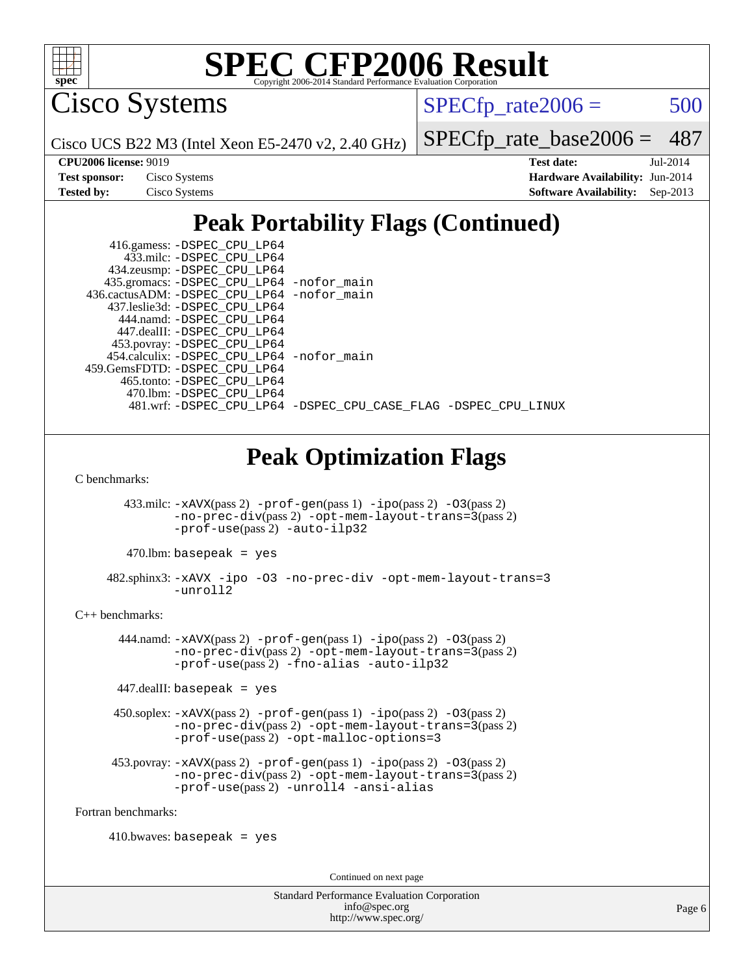

Cisco Systems

 $SPECTp\_rate2006 = 500$ 

Cisco UCS B22 M3 (Intel Xeon E5-2470 v2, 2.40 GHz)

[SPECfp\\_rate\\_base2006 =](http://www.spec.org/auto/cpu2006/Docs/result-fields.html#SPECfpratebase2006) 487

| <b>Test sponsor:</b> | Cisco Systems |
|----------------------|---------------|
| <b>Tested by:</b>    | Cisco Systems |

**[CPU2006 license:](http://www.spec.org/auto/cpu2006/Docs/result-fields.html#CPU2006license)** 9019 **[Test date:](http://www.spec.org/auto/cpu2006/Docs/result-fields.html#Testdate)** Jul-2014 **[Hardware Availability:](http://www.spec.org/auto/cpu2006/Docs/result-fields.html#HardwareAvailability)** Jun-2014 **[Software Availability:](http://www.spec.org/auto/cpu2006/Docs/result-fields.html#SoftwareAvailability)** Sep-2013

## **[Peak Portability Flags \(Continued\)](http://www.spec.org/auto/cpu2006/Docs/result-fields.html#PeakPortabilityFlags)**

| 416.gamess: -DSPEC_CPU_LP64                  |                                                                |
|----------------------------------------------|----------------------------------------------------------------|
| 433.milc: -DSPEC_CPU_LP64                    |                                                                |
| 434.zeusmp: -DSPEC_CPU_LP64                  |                                                                |
| 435.gromacs: -DSPEC_CPU_LP64 -nofor_main     |                                                                |
| 436.cactusADM: - DSPEC CPU LP64 - nofor main |                                                                |
| 437.leslie3d: -DSPEC CPU LP64                |                                                                |
| 444.namd: -DSPEC CPU LP64                    |                                                                |
| 447.dealII: -DSPEC CPU LP64                  |                                                                |
| 453.povray: -DSPEC_CPU_LP64                  |                                                                |
| 454.calculix: - DSPEC CPU LP64 - nofor main  |                                                                |
| 459.GemsFDTD: -DSPEC CPU LP64                |                                                                |
| 465.tonto: -DSPEC_CPU_LP64                   |                                                                |
| 470.1bm: - DSPEC CPU LP64                    |                                                                |
|                                              | 481.wrf: -DSPEC CPU LP64 -DSPEC CPU CASE FLAG -DSPEC CPU LINUX |

## **[Peak Optimization Flags](http://www.spec.org/auto/cpu2006/Docs/result-fields.html#PeakOptimizationFlags)**

[C benchmarks](http://www.spec.org/auto/cpu2006/Docs/result-fields.html#Cbenchmarks):

433.milc:  $-xAUX(pass 2) -prof-gen(pass 1) -ipo(pass 2) -O3(pass 2)$  $-xAUX(pass 2) -prof-gen(pass 1) -ipo(pass 2) -O3(pass 2)$  $-xAUX(pass 2) -prof-gen(pass 1) -ipo(pass 2) -O3(pass 2)$  $-xAUX(pass 2) -prof-gen(pass 1) -ipo(pass 2) -O3(pass 2)$  $-xAUX(pass 2) -prof-gen(pass 1) -ipo(pass 2) -O3(pass 2)$  $-xAUX(pass 2) -prof-gen(pass 1) -ipo(pass 2) -O3(pass 2)$  $-xAUX(pass 2) -prof-gen(pass 1) -ipo(pass 2) -O3(pass 2)$ [-no-prec-div](http://www.spec.org/cpu2006/results/res2014q3/cpu2006-20140903-31201.flags.html#user_peakPASS2_CFLAGSPASS2_LDFLAGS433_milc_f-no-prec-div)(pass 2) [-opt-mem-layout-trans=3](http://www.spec.org/cpu2006/results/res2014q3/cpu2006-20140903-31201.flags.html#user_peakPASS2_CFLAGS433_milc_f-opt-mem-layout-trans_a7b82ad4bd7abf52556d4961a2ae94d5)(pass 2) [-prof-use](http://www.spec.org/cpu2006/results/res2014q3/cpu2006-20140903-31201.flags.html#user_peakPASS2_CFLAGSPASS2_LDFLAGS433_milc_prof_use_bccf7792157ff70d64e32fe3e1250b55)(pass 2) [-auto-ilp32](http://www.spec.org/cpu2006/results/res2014q3/cpu2006-20140903-31201.flags.html#user_peakCOPTIMIZE433_milc_f-auto-ilp32)

 $470$ .lbm: basepeak = yes

 482.sphinx3: [-xAVX](http://www.spec.org/cpu2006/results/res2014q3/cpu2006-20140903-31201.flags.html#user_peakOPTIMIZE482_sphinx3_f-xAVX) [-ipo](http://www.spec.org/cpu2006/results/res2014q3/cpu2006-20140903-31201.flags.html#user_peakOPTIMIZE482_sphinx3_f-ipo) [-O3](http://www.spec.org/cpu2006/results/res2014q3/cpu2006-20140903-31201.flags.html#user_peakOPTIMIZE482_sphinx3_f-O3) [-no-prec-div](http://www.spec.org/cpu2006/results/res2014q3/cpu2006-20140903-31201.flags.html#user_peakOPTIMIZE482_sphinx3_f-no-prec-div) [-opt-mem-layout-trans=3](http://www.spec.org/cpu2006/results/res2014q3/cpu2006-20140903-31201.flags.html#user_peakOPTIMIZE482_sphinx3_f-opt-mem-layout-trans_a7b82ad4bd7abf52556d4961a2ae94d5) [-unroll2](http://www.spec.org/cpu2006/results/res2014q3/cpu2006-20140903-31201.flags.html#user_peakCOPTIMIZE482_sphinx3_f-unroll_784dae83bebfb236979b41d2422d7ec2)

[C++ benchmarks:](http://www.spec.org/auto/cpu2006/Docs/result-fields.html#CXXbenchmarks)

 444.namd: [-xAVX](http://www.spec.org/cpu2006/results/res2014q3/cpu2006-20140903-31201.flags.html#user_peakPASS2_CXXFLAGSPASS2_LDFLAGS444_namd_f-xAVX)(pass 2) [-prof-gen](http://www.spec.org/cpu2006/results/res2014q3/cpu2006-20140903-31201.flags.html#user_peakPASS1_CXXFLAGSPASS1_LDFLAGS444_namd_prof_gen_e43856698f6ca7b7e442dfd80e94a8fc)(pass 1) [-ipo](http://www.spec.org/cpu2006/results/res2014q3/cpu2006-20140903-31201.flags.html#user_peakPASS2_CXXFLAGSPASS2_LDFLAGS444_namd_f-ipo)(pass 2) [-O3](http://www.spec.org/cpu2006/results/res2014q3/cpu2006-20140903-31201.flags.html#user_peakPASS2_CXXFLAGSPASS2_LDFLAGS444_namd_f-O3)(pass 2) [-no-prec-div](http://www.spec.org/cpu2006/results/res2014q3/cpu2006-20140903-31201.flags.html#user_peakPASS2_CXXFLAGSPASS2_LDFLAGS444_namd_f-no-prec-div)(pass 2) [-opt-mem-layout-trans=3](http://www.spec.org/cpu2006/results/res2014q3/cpu2006-20140903-31201.flags.html#user_peakPASS2_CXXFLAGS444_namd_f-opt-mem-layout-trans_a7b82ad4bd7abf52556d4961a2ae94d5)(pass 2) [-prof-use](http://www.spec.org/cpu2006/results/res2014q3/cpu2006-20140903-31201.flags.html#user_peakPASS2_CXXFLAGSPASS2_LDFLAGS444_namd_prof_use_bccf7792157ff70d64e32fe3e1250b55)(pass 2) [-fno-alias](http://www.spec.org/cpu2006/results/res2014q3/cpu2006-20140903-31201.flags.html#user_peakCXXOPTIMIZE444_namd_f-no-alias_694e77f6c5a51e658e82ccff53a9e63a) [-auto-ilp32](http://www.spec.org/cpu2006/results/res2014q3/cpu2006-20140903-31201.flags.html#user_peakCXXOPTIMIZE444_namd_f-auto-ilp32)

447.dealII: basepeak = yes

 450.soplex: [-xAVX](http://www.spec.org/cpu2006/results/res2014q3/cpu2006-20140903-31201.flags.html#user_peakPASS2_CXXFLAGSPASS2_LDFLAGS450_soplex_f-xAVX)(pass 2) [-prof-gen](http://www.spec.org/cpu2006/results/res2014q3/cpu2006-20140903-31201.flags.html#user_peakPASS1_CXXFLAGSPASS1_LDFLAGS450_soplex_prof_gen_e43856698f6ca7b7e442dfd80e94a8fc)(pass 1) [-ipo](http://www.spec.org/cpu2006/results/res2014q3/cpu2006-20140903-31201.flags.html#user_peakPASS2_CXXFLAGSPASS2_LDFLAGS450_soplex_f-ipo)(pass 2) [-O3](http://www.spec.org/cpu2006/results/res2014q3/cpu2006-20140903-31201.flags.html#user_peakPASS2_CXXFLAGSPASS2_LDFLAGS450_soplex_f-O3)(pass 2) [-no-prec-div](http://www.spec.org/cpu2006/results/res2014q3/cpu2006-20140903-31201.flags.html#user_peakPASS2_CXXFLAGSPASS2_LDFLAGS450_soplex_f-no-prec-div)(pass 2) [-opt-mem-layout-trans=3](http://www.spec.org/cpu2006/results/res2014q3/cpu2006-20140903-31201.flags.html#user_peakPASS2_CXXFLAGS450_soplex_f-opt-mem-layout-trans_a7b82ad4bd7abf52556d4961a2ae94d5)(pass 2) [-prof-use](http://www.spec.org/cpu2006/results/res2014q3/cpu2006-20140903-31201.flags.html#user_peakPASS2_CXXFLAGSPASS2_LDFLAGS450_soplex_prof_use_bccf7792157ff70d64e32fe3e1250b55)(pass 2) [-opt-malloc-options=3](http://www.spec.org/cpu2006/results/res2014q3/cpu2006-20140903-31201.flags.html#user_peakOPTIMIZE450_soplex_f-opt-malloc-options_13ab9b803cf986b4ee62f0a5998c2238)

453.povray:  $-xAVX(pass 2)$  $-xAVX(pass 2)$  [-prof-gen](http://www.spec.org/cpu2006/results/res2014q3/cpu2006-20140903-31201.flags.html#user_peakPASS1_CXXFLAGSPASS1_LDFLAGS453_povray_prof_gen_e43856698f6ca7b7e442dfd80e94a8fc)(pass 1) [-ipo](http://www.spec.org/cpu2006/results/res2014q3/cpu2006-20140903-31201.flags.html#user_peakPASS2_CXXFLAGSPASS2_LDFLAGS453_povray_f-ipo)(pass 2) -03(pass 2) [-no-prec-div](http://www.spec.org/cpu2006/results/res2014q3/cpu2006-20140903-31201.flags.html#user_peakPASS2_CXXFLAGSPASS2_LDFLAGS453_povray_f-no-prec-div)(pass 2) [-opt-mem-layout-trans=3](http://www.spec.org/cpu2006/results/res2014q3/cpu2006-20140903-31201.flags.html#user_peakPASS2_CXXFLAGS453_povray_f-opt-mem-layout-trans_a7b82ad4bd7abf52556d4961a2ae94d5)(pass 2) [-prof-use](http://www.spec.org/cpu2006/results/res2014q3/cpu2006-20140903-31201.flags.html#user_peakPASS2_CXXFLAGSPASS2_LDFLAGS453_povray_prof_use_bccf7792157ff70d64e32fe3e1250b55)(pass 2) [-unroll4](http://www.spec.org/cpu2006/results/res2014q3/cpu2006-20140903-31201.flags.html#user_peakCXXOPTIMIZE453_povray_f-unroll_4e5e4ed65b7fd20bdcd365bec371b81f) [-ansi-alias](http://www.spec.org/cpu2006/results/res2014q3/cpu2006-20140903-31201.flags.html#user_peakCXXOPTIMIZE453_povray_f-ansi-alias)

[Fortran benchmarks](http://www.spec.org/auto/cpu2006/Docs/result-fields.html#Fortranbenchmarks):

 $410.bwaves: basepeak = yes$ 

Continued on next page